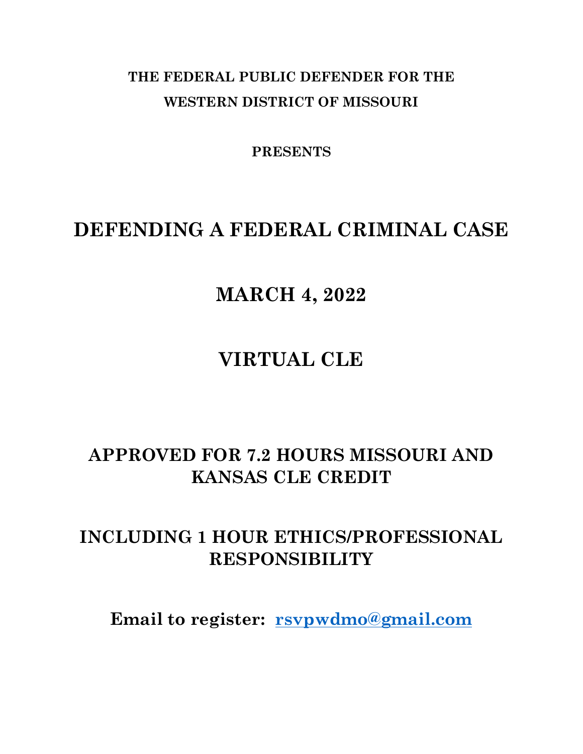## **THE FEDERAL PUBLIC DEFENDER FOR THE WESTERN DISTRICT OF MISSOURI**

**PRESENTS**

## **DEFENDING A FEDERAL CRIMINAL CASE**

## **MARCH 4, 2022**

## **VIRTUAL CLE**

## **APPROVED FOR 7.2 HOURS MISSOURI AND KANSAS CLE CREDIT**

## **INCLUDING 1 HOUR ETHICS/PROFESSIONAL RESPONSIBILITY**

**Email to register: [rsvpwdmo@gmail.com](mailto:rsvpwdmo@gmail.com)**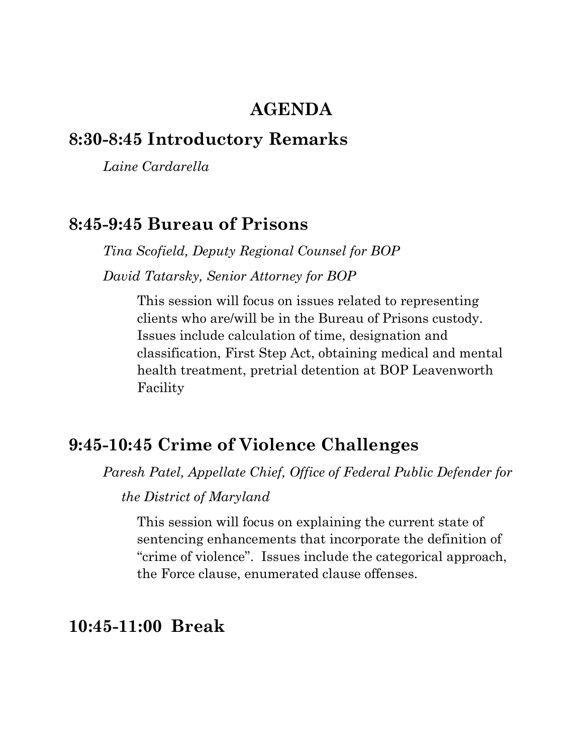### **AGENDA**

### **8:30-8:45 Introductory Remarks**

*Laine Cardarella*

### **8:45-9:45 Bureau of Prisons**

*Tina Scofield, Deputy Regional Counsel for BOP David Tatarsky, Senior Attorney for BOP*

> This session will focus on issues related to representing clients who are/will be in the Bureau of Prisons custody. Issues include calculation of time, designation and classification, First Step Act, obtaining medical and mental health treatment, pretrial detention at BOP Leavenworth Facility

#### **9:45-10:45 Crime of Violence Challenges**

*Paresh Patel, Appellate Chief, Office of Federal Public Defender for* 

 *the District of Maryland*

This session will focus on explaining the current state of sentencing enhancements that incorporate the definition of "crime of violence". Issues include the categorical approach, the Force clause, enumerated clause offenses.

### **10:45-11:00 Break**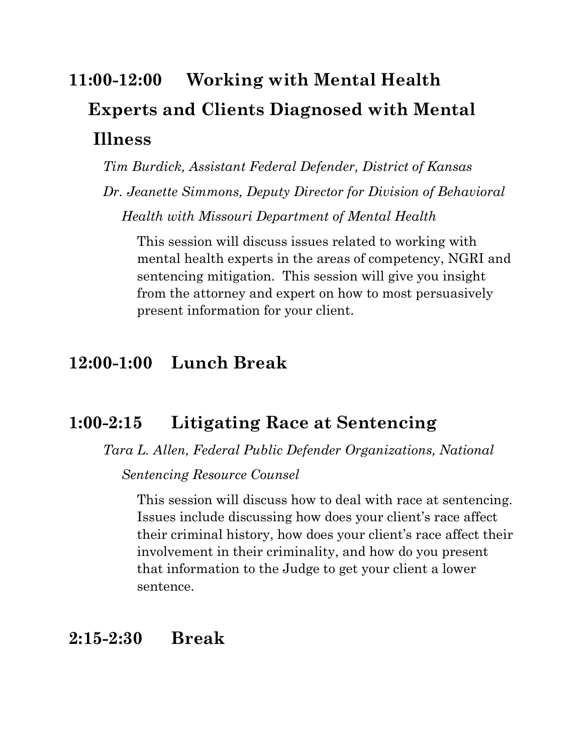# **11:00-12:00 Working with Mental Health Experts and Clients Diagnosed with Mental Illness**

*Tim Burdick, Assistant Federal Defender, District of Kansas*

*Dr. Jeanette Simmons, Deputy Director for Division of Behavioral Health with Missouri Department of Mental Health*

This session will discuss issues related to working with mental health experts in the areas of competency, NGRI and sentencing mitigation. This session will give you insight from the attorney and expert on how to most persuasively present information for your client.

### **12:00-1:00 Lunch Break**

### **1:00-2:15 Litigating Race at Sentencing**

*Tara L. Allen, Federal Public Defender Organizations, National* 

 *Sentencing Resource Counsel*

This session will discuss how to deal with race at sentencing. Issues include discussing how does your client's race affect their criminal history, how does your client's race affect their involvement in their criminality, and how do you present that information to the Judge to get your client a lower sentence.

### **2:15-2:30 Break**